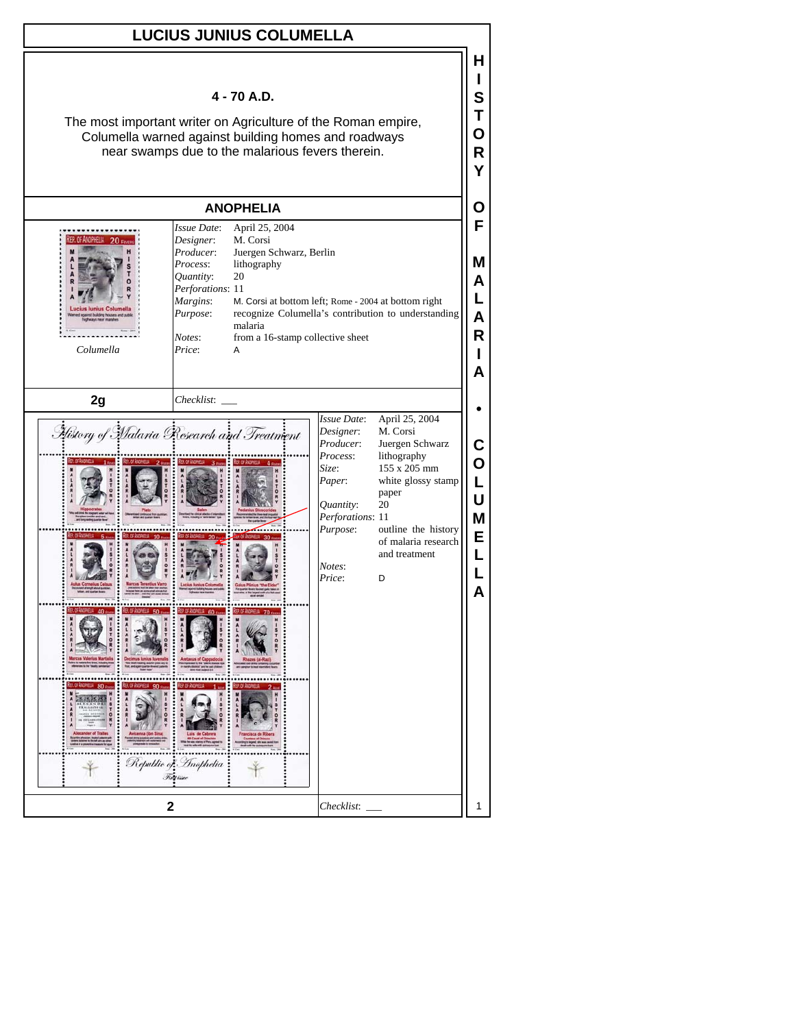